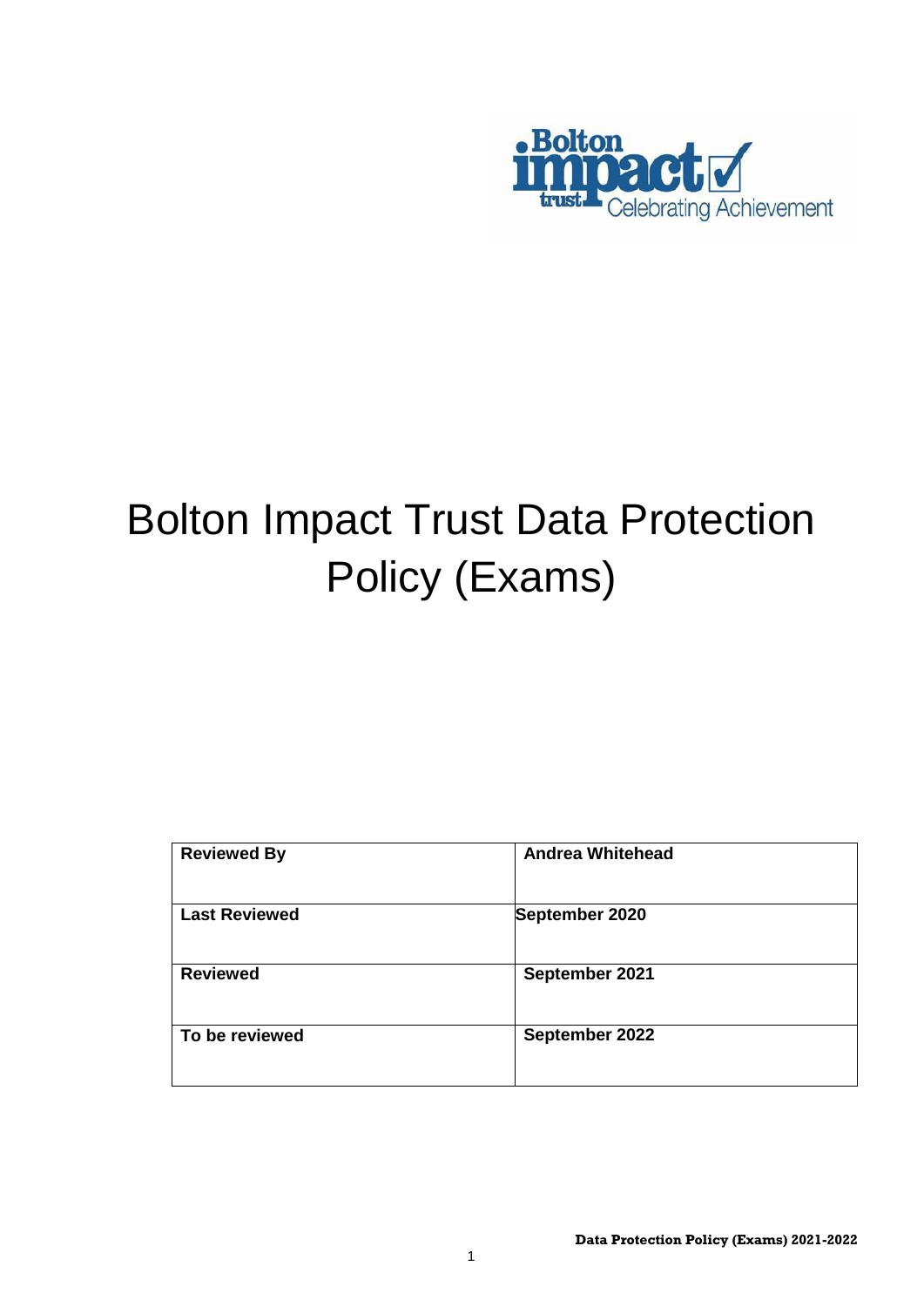

# Bolton Impact Trust Data Protection Policy (Exams)

| <b>Reviewed By</b>   | <b>Andrea Whitehead</b> |
|----------------------|-------------------------|
| <b>Last Reviewed</b> | September 2020          |
| <b>Reviewed</b>      | September 2021          |
| To be reviewed       | September 2022          |

1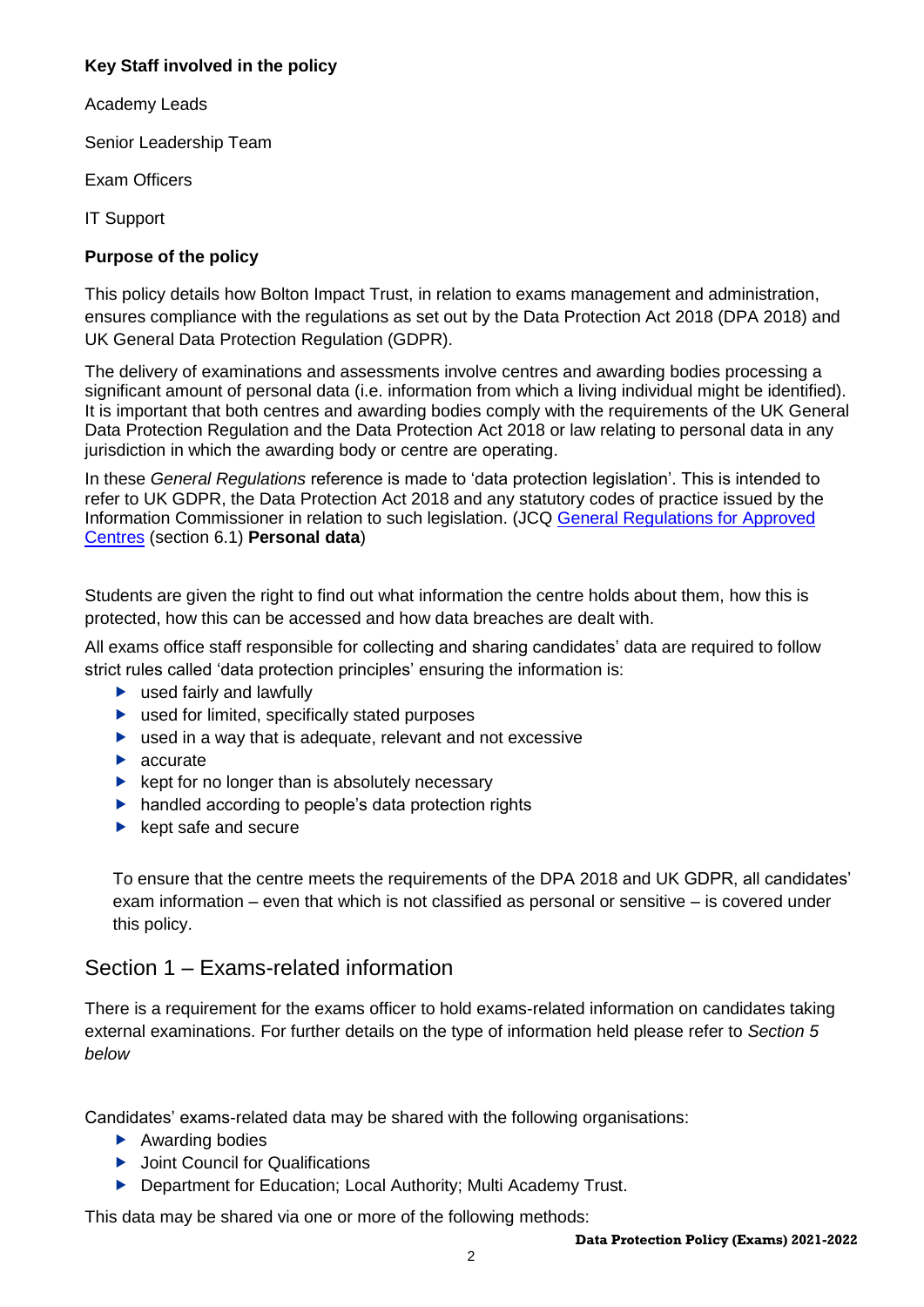## **Key Staff involved in the policy**

Academy Leads

Senior Leadership Team

Exam Officers

IT Support

## **Purpose of the policy**

This policy details how Bolton Impact Trust, in relation to exams management and administration, ensures compliance with the regulations as set out by the Data Protection Act 2018 (DPA 2018) and UK General Data Protection Regulation (GDPR).

The delivery of examinations and assessments involve centres and awarding bodies processing a significant amount of personal data (i.e. information from which a living individual might be identified). It is important that both centres and awarding bodies comply with the requirements of the UK General Data Protection Regulation and the Data Protection Act 2018 or law relating to personal data in any jurisdiction in which the awarding body or centre are operating.

In these *General Regulations* reference is made to 'data protection legislation'. This is intended to refer to UK GDPR, the Data Protection Act 2018 and any statutory codes of practice issued by the Information Commissioner in relation to such legislation. (JCQ [General Regulations for Approved](https://www.jcq.org.uk/exams-office/general-regulations/)  [Centres](https://www.jcq.org.uk/exams-office/general-regulations/) (section 6.1) **Personal data**)

Students are given the right to find out what information the centre holds about them, how this is protected, how this can be accessed and how data breaches are dealt with.

All exams office staff responsible for collecting and sharing candidates' data are required to follow strict rules called 'data protection principles' ensuring the information is:

- ▶ used fairly and lawfully
- ▶ used for limited, specifically stated purposes
- ▶ used in a way that is adequate, relevant and not excessive
- **A** accurate
- $\blacktriangleright$  kept for no longer than is absolutely necessary
- handled according to people's data protection rights
- $\blacktriangleright$  kept safe and secure

To ensure that the centre meets the requirements of the DPA 2018 and UK GDPR, all candidates' exam information – even that which is not classified as personal or sensitive – is covered under this policy.

## Section 1 – Exams-related information

There is a requirement for the exams officer to hold exams-related information on candidates taking external examinations. For further details on the type of information held please refer to *Section 5 below*

Candidates' exams-related data may be shared with the following organisations:

- ▶ Awarding bodies
- ▶ Joint Council for Qualifications
- **Department for Education; Local Authority; Multi Academy Trust.**

This data may be shared via one or more of the following methods: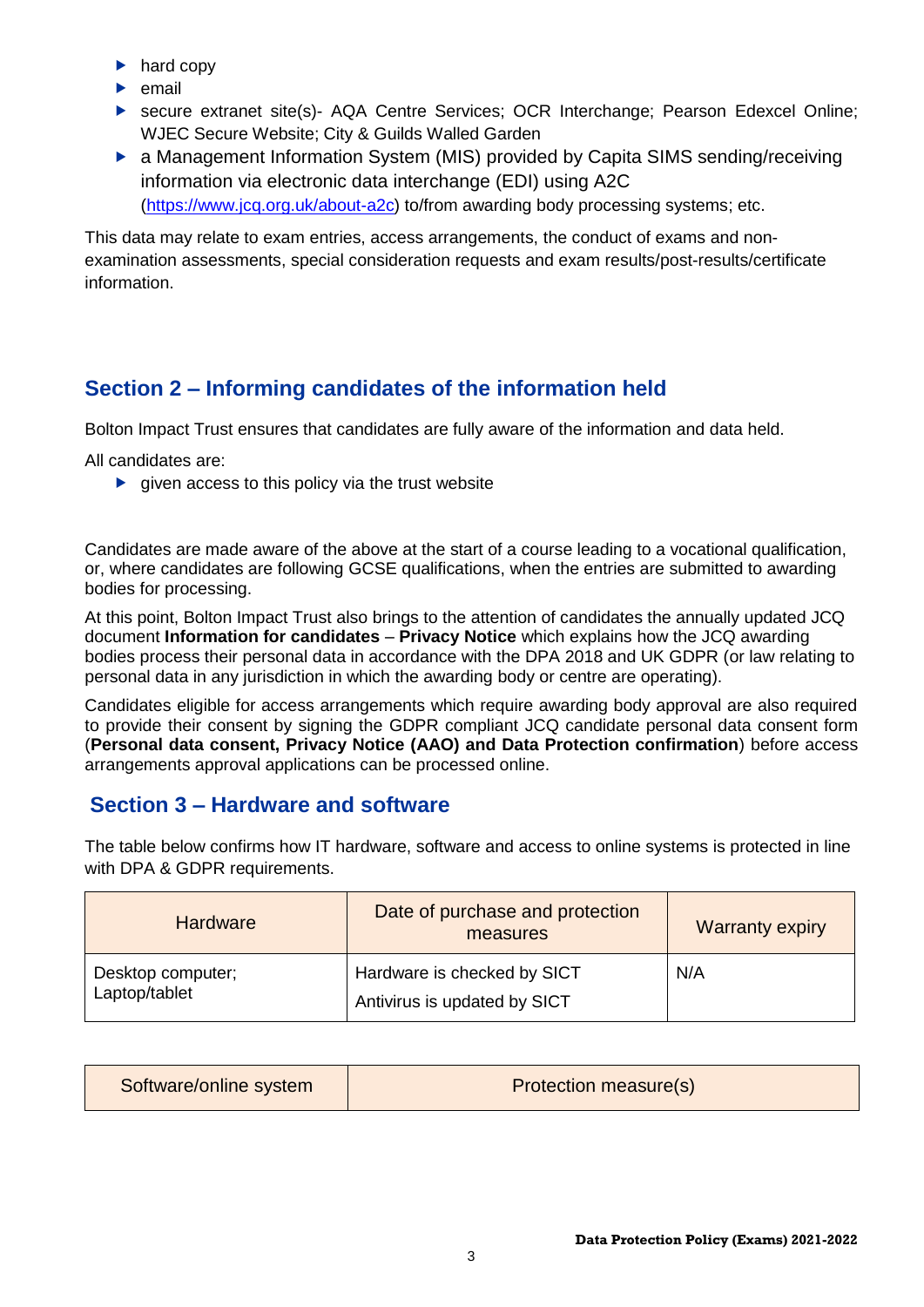- $\blacktriangleright$  hard copy
- $\blacktriangleright$  email
- secure extranet site(s)- AQA Centre Services; OCR Interchange; Pearson Edexcel Online; WJEC Secure Website; City & Guilds Walled Garden
- ▶ a Management Information System (MIS) provided by Capita SIMS sending/receiving information via electronic data interchange (EDI) using A2C [\(https://www.jcq.org.uk/about-a2c\)](https://www.jcq.org.uk/about-a2c) to/from awarding body processing systems; etc.

This data may relate to exam entries, access arrangements, the conduct of exams and nonexamination assessments, special consideration requests and exam results/post-results/certificate information.

# **Section 2 – Informing candidates of the information held**

Bolton Impact Trust ensures that candidates are fully aware of the information and data held.

All candidates are:

 $\triangleright$  given access to this policy via the trust website

Candidates are made aware of the above at the start of a course leading to a vocational qualification, or, where candidates are following GCSE qualifications, when the entries are submitted to awarding bodies for processing.

At this point, Bolton Impact Trust also brings to the attention of candidates the annually updated JCQ document **Information for candidates** – **Privacy Notice** which explains how the JCQ awarding bodies process their personal data in accordance with the DPA 2018 and UK GDPR (or law relating to personal data in any jurisdiction in which the awarding body or centre are operating).

Candidates eligible for access arrangements which require awarding body approval are also required to provide their consent by signing the GDPR compliant JCQ candidate personal data consent form (**Personal data consent, Privacy Notice (AAO) and Data Protection confirmation**) before access arrangements approval applications can be processed online.

# **Section 3 – Hardware and software**

The table below confirms how IT hardware, software and access to online systems is protected in line with DPA & GDPR requirements.

| <b>Hardware</b>                    | Date of purchase and protection<br>measures                 | <b>Warranty expiry</b> |  |
|------------------------------------|-------------------------------------------------------------|------------------------|--|
| Desktop computer;<br>Laptop/tablet | Hardware is checked by SICT<br>Antivirus is updated by SICT | N/A                    |  |

| Software/online system | <b>Protection measure(s)</b> |
|------------------------|------------------------------|
|------------------------|------------------------------|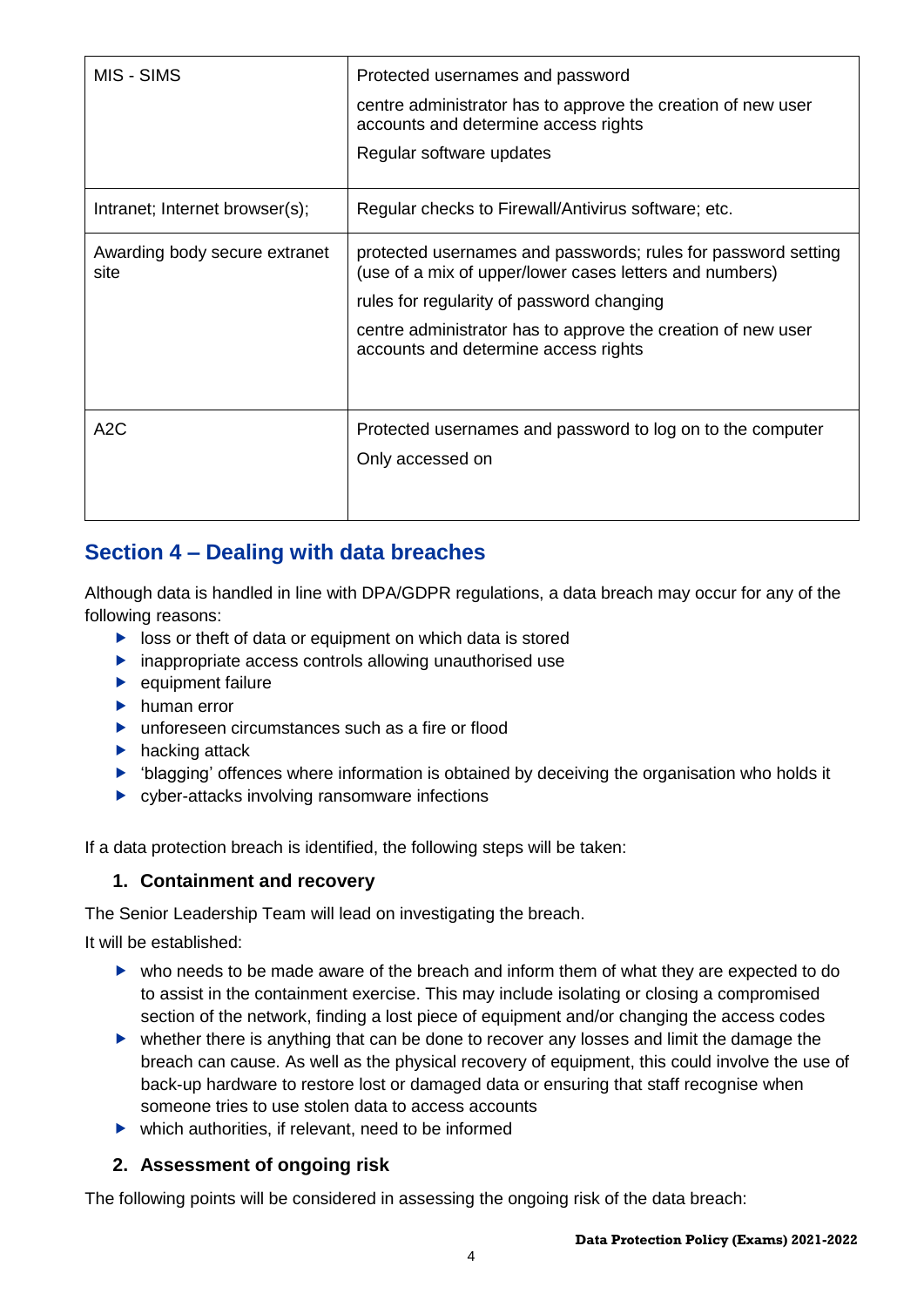| MIS - SIMS                            | Protected usernames and password<br>centre administrator has to approve the creation of new user<br>accounts and determine access rights<br>Regular software updates                                                                                                          |
|---------------------------------------|-------------------------------------------------------------------------------------------------------------------------------------------------------------------------------------------------------------------------------------------------------------------------------|
| Intranet; Internet browser(s);        | Regular checks to Firewall/Antivirus software; etc.                                                                                                                                                                                                                           |
| Awarding body secure extranet<br>site | protected usernames and passwords; rules for password setting<br>(use of a mix of upper/lower cases letters and numbers)<br>rules for regularity of password changing<br>centre administrator has to approve the creation of new user<br>accounts and determine access rights |
| A2C                                   | Protected usernames and password to log on to the computer<br>Only accessed on                                                                                                                                                                                                |

# **Section 4 – Dealing with data breaches**

Although data is handled in line with DPA/GDPR regulations, a data breach may occur for any of the following reasons:

- $\triangleright$  loss or theft of data or equipment on which data is stored
- **EX inappropriate access controls allowing unauthorised use**
- $\blacktriangleright$  equipment failure
- $\blacktriangleright$  human error
- ▶ unforeseen circumstances such as a fire or flood
- $\blacktriangleright$  hacking attack
- 'blagging' offences where information is obtained by deceiving the organisation who holds it
- ▶ cyber-attacks involving ransomware infections

If a data protection breach is identified, the following steps will be taken:

### **1. Containment and recovery**

The Senior Leadership Team will lead on investigating the breach.

It will be established:

- who needs to be made aware of the breach and inform them of what they are expected to do to assist in the containment exercise. This may include isolating or closing a compromised section of the network, finding a lost piece of equipment and/or changing the access codes
- whether there is anything that can be done to recover any losses and limit the damage the breach can cause. As well as the physical recovery of equipment, this could involve the use of back-up hardware to restore lost or damaged data or ensuring that staff recognise when someone tries to use stolen data to access accounts
- $\blacktriangleright$  which authorities, if relevant, need to be informed

## **2. Assessment of ongoing risk**

The following points will be considered in assessing the ongoing risk of the data breach: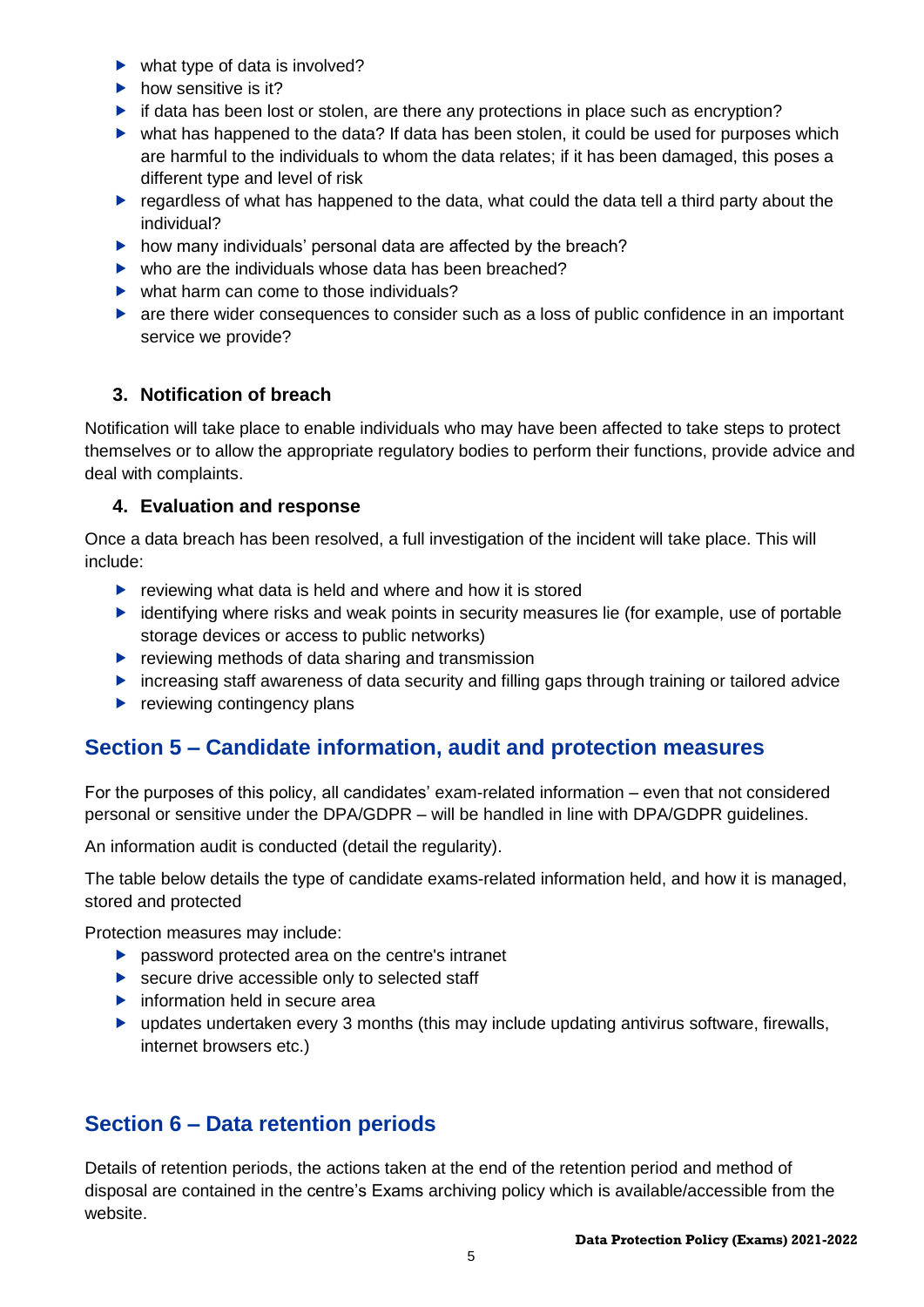- $\blacktriangleright$  what type of data is involved?
- $\blacktriangleright$  how sensitive is it?
- $\triangleright$  if data has been lost or stolen, are there any protections in place such as encryption?
- what has happened to the data? If data has been stolen, it could be used for purposes which are harmful to the individuals to whom the data relates; if it has been damaged, this poses a different type and level of risk
- regardless of what has happened to the data, what could the data tell a third party about the individual?
- $\blacktriangleright$  how many individuals' personal data are affected by the breach?
- $\blacktriangleright$  who are the individuals whose data has been breached?
- $\blacktriangleright$  what harm can come to those individuals?
- are there wider consequences to consider such as a loss of public confidence in an important service we provide?

## **3. Notification of breach**

Notification will take place to enable individuals who may have been affected to take steps to protect themselves or to allow the appropriate regulatory bodies to perform their functions, provide advice and deal with complaints.

## **4. Evaluation and response**

Once a data breach has been resolved, a full investigation of the incident will take place. This will include:

- $\blacktriangleright$  reviewing what data is held and where and how it is stored
- $\blacktriangleright$  identifying where risks and weak points in security measures lie (for example, use of portable storage devices or access to public networks)
- $\blacktriangleright$  reviewing methods of data sharing and transmission
- **F** increasing staff awareness of data security and filling gaps through training or tailored advice
- $\blacktriangleright$  reviewing contingency plans

# **Section 5 – Candidate information, audit and protection measures**

For the purposes of this policy, all candidates' exam-related information – even that not considered personal or sensitive under the DPA/GDPR – will be handled in line with DPA/GDPR guidelines.

An information audit is conducted (detail the regularity).

The table below details the type of candidate exams-related information held, and how it is managed, stored and protected

Protection measures may include:

- **P** password protected area on the centre's intranet
- ▶ secure drive accessible only to selected staff
- $\blacktriangleright$  information held in secure area
- $\blacktriangleright$  updates undertaken every 3 months (this may include updating antivirus software, firewalls, internet browsers etc.)

# **Section 6 – Data retention periods**

Details of retention periods, the actions taken at the end of the retention period and method of disposal are contained in the centre's Exams archiving policy which is available/accessible from the website.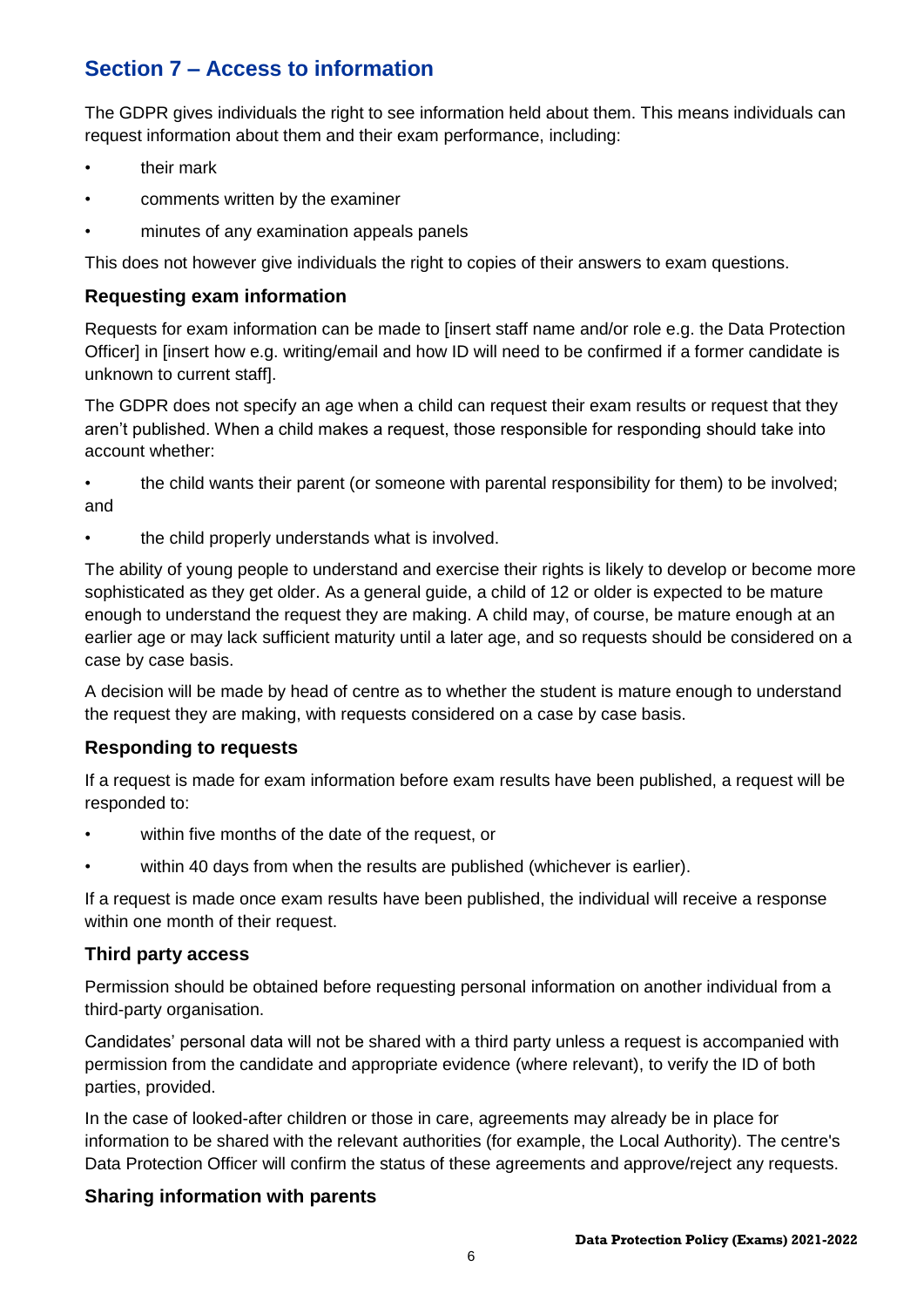# **Section 7 – Access to information**

The GDPR gives individuals the right to see information held about them. This means individuals can request information about them and their exam performance, including:

- their mark
- comments written by the examiner
- minutes of any examination appeals panels

This does not however give individuals the right to copies of their answers to exam questions.

### **Requesting exam information**

Requests for exam information can be made to [insert staff name and/or role e.g. the Data Protection Officer] in [insert how e.g. writing/email and how ID will need to be confirmed if a former candidate is unknown to current staff].

The GDPR does not specify an age when a child can request their exam results or request that they aren't published. When a child makes a request, those responsible for responding should take into account whether:

• the child wants their parent (or someone with parental responsibility for them) to be involved; and

• the child properly understands what is involved.

The ability of young people to understand and exercise their rights is likely to develop or become more sophisticated as they get older. As a general guide, a child of 12 or older is expected to be mature enough to understand the request they are making. A child may, of course, be mature enough at an earlier age or may lack sufficient maturity until a later age, and so requests should be considered on a case by case basis.

A decision will be made by head of centre as to whether the student is mature enough to understand the request they are making, with requests considered on a case by case basis.

### **Responding to requests**

If a request is made for exam information before exam results have been published, a request will be responded to:

- within five months of the date of the request, or
- within 40 days from when the results are published (whichever is earlier).

If a request is made once exam results have been published, the individual will receive a response within one month of their request.

### **Third party access**

Permission should be obtained before requesting personal information on another individual from a third-party organisation.

Candidates' personal data will not be shared with a third party unless a request is accompanied with permission from the candidate and appropriate evidence (where relevant), to verify the ID of both parties, provided.

In the case of looked-after children or those in care, agreements may already be in place for information to be shared with the relevant authorities (for example, the Local Authority). The centre's Data Protection Officer will confirm the status of these agreements and approve/reject any requests.

### **Sharing information with parents**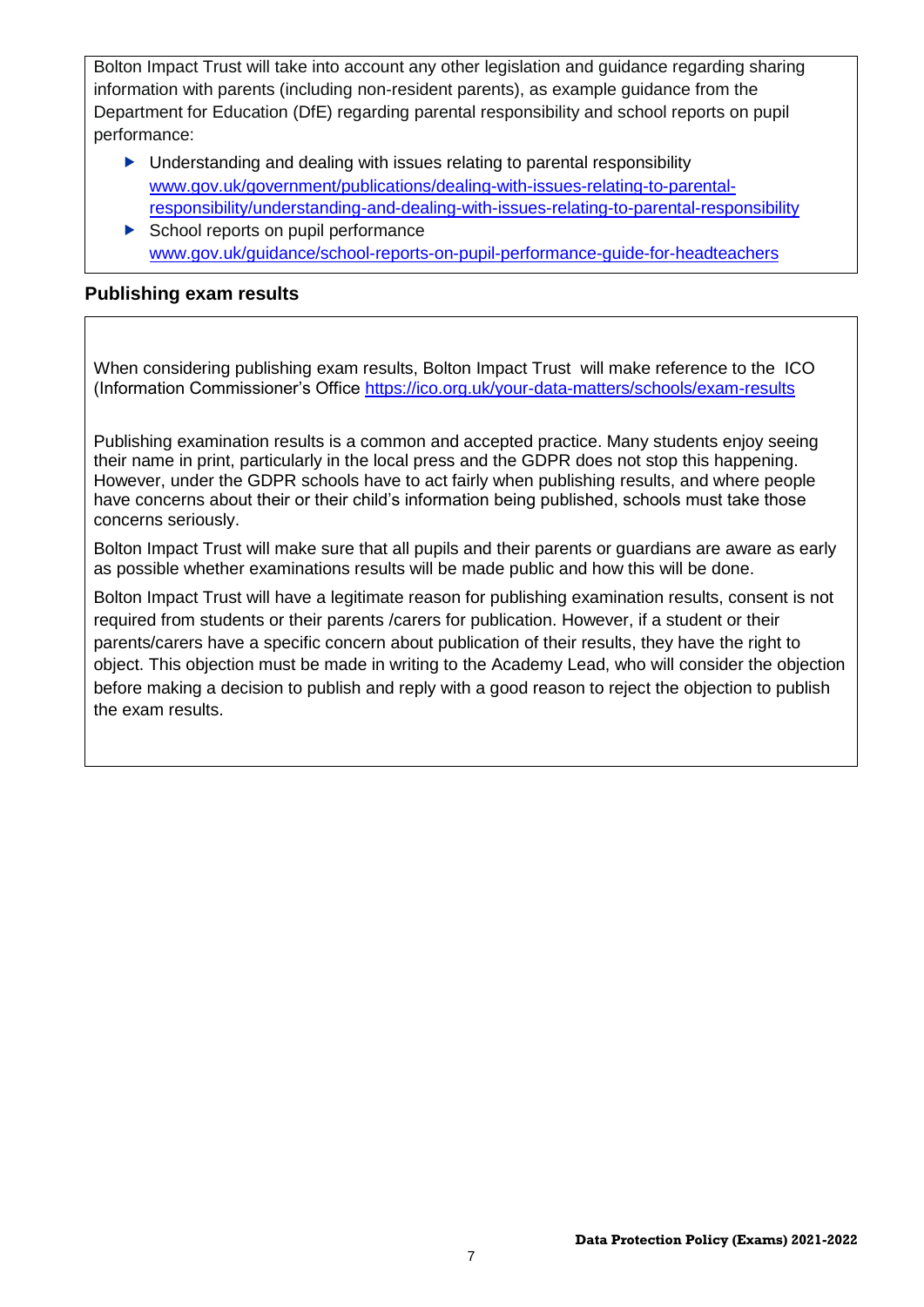Bolton Impact Trust will take into account any other legislation and guidance regarding sharing information with parents (including non-resident parents), as example guidance from the Department for Education (DfE) regarding parental responsibility and school reports on pupil performance:

- ▶ Understanding and dealing with issues relating to parental responsibility [www.gov.uk/government/publications/dealing-with-issues-relating-to-parental](https://www.gov.uk/government/publications/dealing-with-issues-relating-to-parental-responsibility/understanding-and-dealing-with-issues-relating-to-parental-responsibility)[responsibility/understanding-and-dealing-with-issues-relating-to-parental-responsibility](https://www.gov.uk/government/publications/dealing-with-issues-relating-to-parental-responsibility/understanding-and-dealing-with-issues-relating-to-parental-responsibility)
- School reports on pupil performance [www.gov.uk/guidance/school-reports-on-pupil-performance-guide-for-headteachers](http://www.gov.uk/guidance/school-reports-on-pupil-performance-guide-for-headteachers)

## **Publishing exam results**

When considering publishing exam results, Bolton Impact Trust will make reference to the ICO (Information Commissioner's Office <https://ico.org.uk/your-data-matters/schools/exam-results>

Publishing examination results is a common and accepted practice. Many students enjoy seeing their name in print, particularly in the local press and the GDPR does not stop this happening. However, under the GDPR schools have to act fairly when publishing results, and where people have concerns about their or their child's information being published, schools must take those concerns seriously.

Bolton Impact Trust will make sure that all pupils and their parents or guardians are aware as early as possible whether examinations results will be made public and how this will be done.

Bolton Impact Trust will have a legitimate reason for publishing examination results, consent is not required from students or their parents /carers for publication. However, if a student or their parents/carers have a specific concern about publication of their results, they have the right to object. This objection must be made in writing to the Academy Lead, who will consider the objection before making a decision to publish and reply with a good reason to reject the objection to publish the exam results.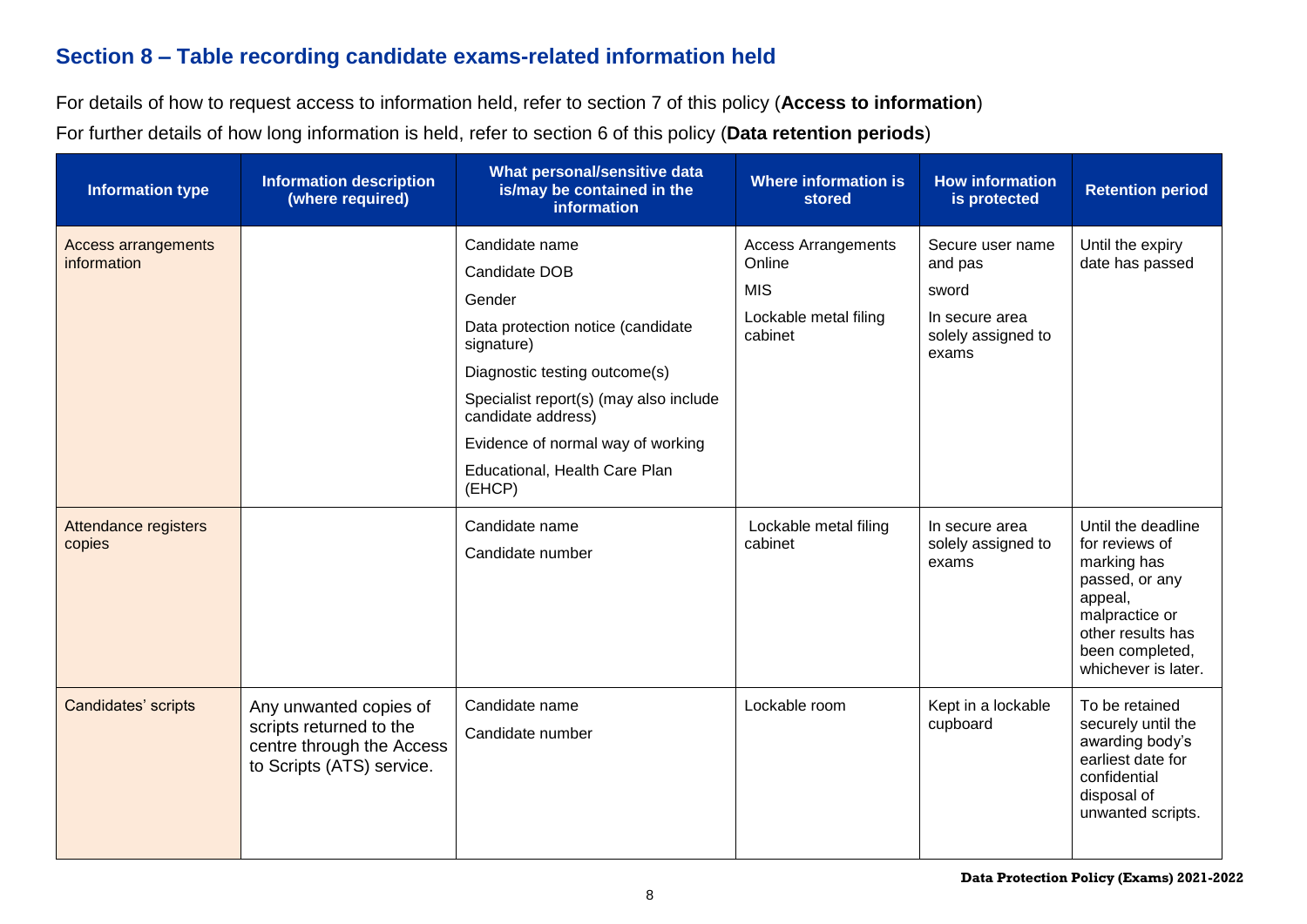# **Section 8 – Table recording candidate exams-related information held**

For details of how to request access to information held, refer to section 7 of this policy (**Access to information**)

For further details of how long information is held, refer to section 6 of this policy (**Data retention periods**)

| <b>Information type</b>                   | <b>Information description</b><br>(where required)                                                          | What personal/sensitive data<br>is/may be contained in the<br>information                                                                                                                                                                                                     | <b>Where information is</b><br>stored                                                  | <b>How information</b><br>is protected                                                | <b>Retention period</b>                                                                                                                                           |
|-------------------------------------------|-------------------------------------------------------------------------------------------------------------|-------------------------------------------------------------------------------------------------------------------------------------------------------------------------------------------------------------------------------------------------------------------------------|----------------------------------------------------------------------------------------|---------------------------------------------------------------------------------------|-------------------------------------------------------------------------------------------------------------------------------------------------------------------|
| <b>Access arrangements</b><br>information |                                                                                                             | Candidate name<br>Candidate DOB<br>Gender<br>Data protection notice (candidate<br>signature)<br>Diagnostic testing outcome(s)<br>Specialist report(s) (may also include<br>candidate address)<br>Evidence of normal way of working<br>Educational, Health Care Plan<br>(EHCP) | <b>Access Arrangements</b><br>Online<br><b>MIS</b><br>Lockable metal filing<br>cabinet | Secure user name<br>and pas<br>sword<br>In secure area<br>solely assigned to<br>exams | Until the expiry<br>date has passed                                                                                                                               |
| Attendance registers<br>copies            |                                                                                                             | Candidate name<br>Candidate number                                                                                                                                                                                                                                            | Lockable metal filing<br>cabinet                                                       | In secure area<br>solely assigned to<br>exams                                         | Until the deadline<br>for reviews of<br>marking has<br>passed, or any<br>appeal,<br>malpractice or<br>other results has<br>been completed,<br>whichever is later. |
| Candidates' scripts                       | Any unwanted copies of<br>scripts returned to the<br>centre through the Access<br>to Scripts (ATS) service. | Candidate name<br>Candidate number                                                                                                                                                                                                                                            | Lockable room                                                                          | Kept in a lockable<br>cupboard                                                        | To be retained<br>securely until the<br>awarding body's<br>earliest date for<br>confidential<br>disposal of<br>unwanted scripts.                                  |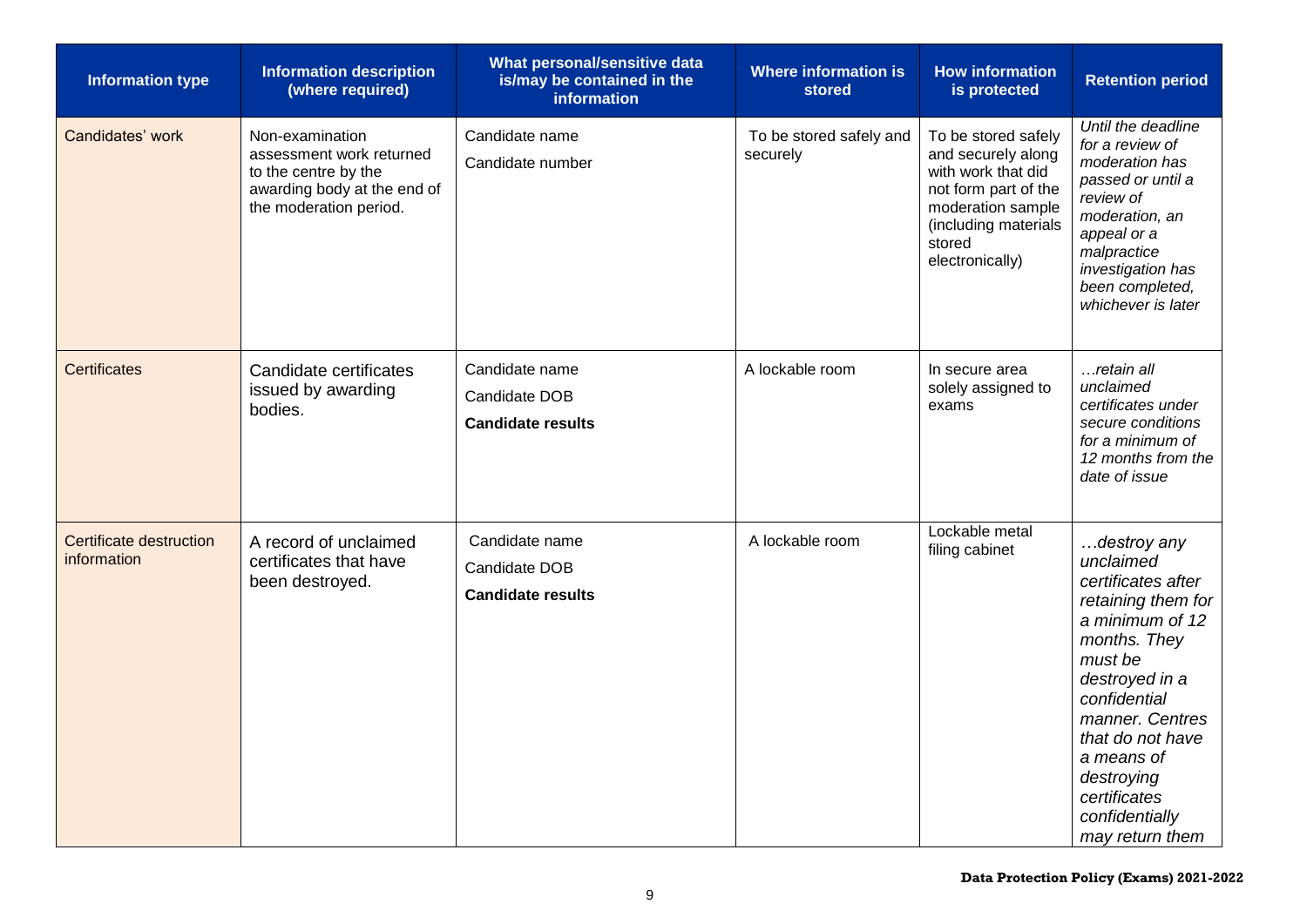| <b>Information type</b>                | <b>Information description</b><br>(where required)                                                                           | What personal/sensitive data<br>is/may be contained in the<br>information | <b>Where information is</b><br><b>stored</b> | <b>How information</b><br>is protected                                                                                                                            | <b>Retention period</b>                                                                                                                                                                                                                                                      |
|----------------------------------------|------------------------------------------------------------------------------------------------------------------------------|---------------------------------------------------------------------------|----------------------------------------------|-------------------------------------------------------------------------------------------------------------------------------------------------------------------|------------------------------------------------------------------------------------------------------------------------------------------------------------------------------------------------------------------------------------------------------------------------------|
| Candidates' work                       | Non-examination<br>assessment work returned<br>to the centre by the<br>awarding body at the end of<br>the moderation period. | Candidate name<br>Candidate number                                        | To be stored safely and<br>securely          | To be stored safely<br>and securely along<br>with work that did<br>not form part of the<br>moderation sample<br>(including materials<br>stored<br>electronically) | Until the deadline<br>for a review of<br>moderation has<br>passed or until a<br>review of<br>moderation, an<br>appeal or a<br>malpractice<br>investigation has<br>been completed,<br>whichever is later                                                                      |
| Certificates                           | Candidate certificates<br>issued by awarding<br>bodies.                                                                      | Candidate name<br>Candidate DOB<br><b>Candidate results</b>               | A lockable room                              | In secure area<br>solely assigned to<br>exams                                                                                                                     | …retain all<br>unclaimed<br>certificates under<br>secure conditions<br>for a minimum of<br>12 months from the<br>date of issue                                                                                                                                               |
| Certificate destruction<br>information | A record of unclaimed<br>certificates that have<br>been destroyed.                                                           | Candidate name<br>Candidate DOB<br><b>Candidate results</b>               | A lockable room                              | Lockable metal<br>filing cabinet                                                                                                                                  | destroy any<br>unclaimed<br>certificates after<br>retaining them for<br>a minimum of 12<br>months. They<br>must be<br>destroyed in a<br>confidential<br>manner. Centres<br>that do not have<br>a means of<br>destroying<br>certificates<br>confidentially<br>may return them |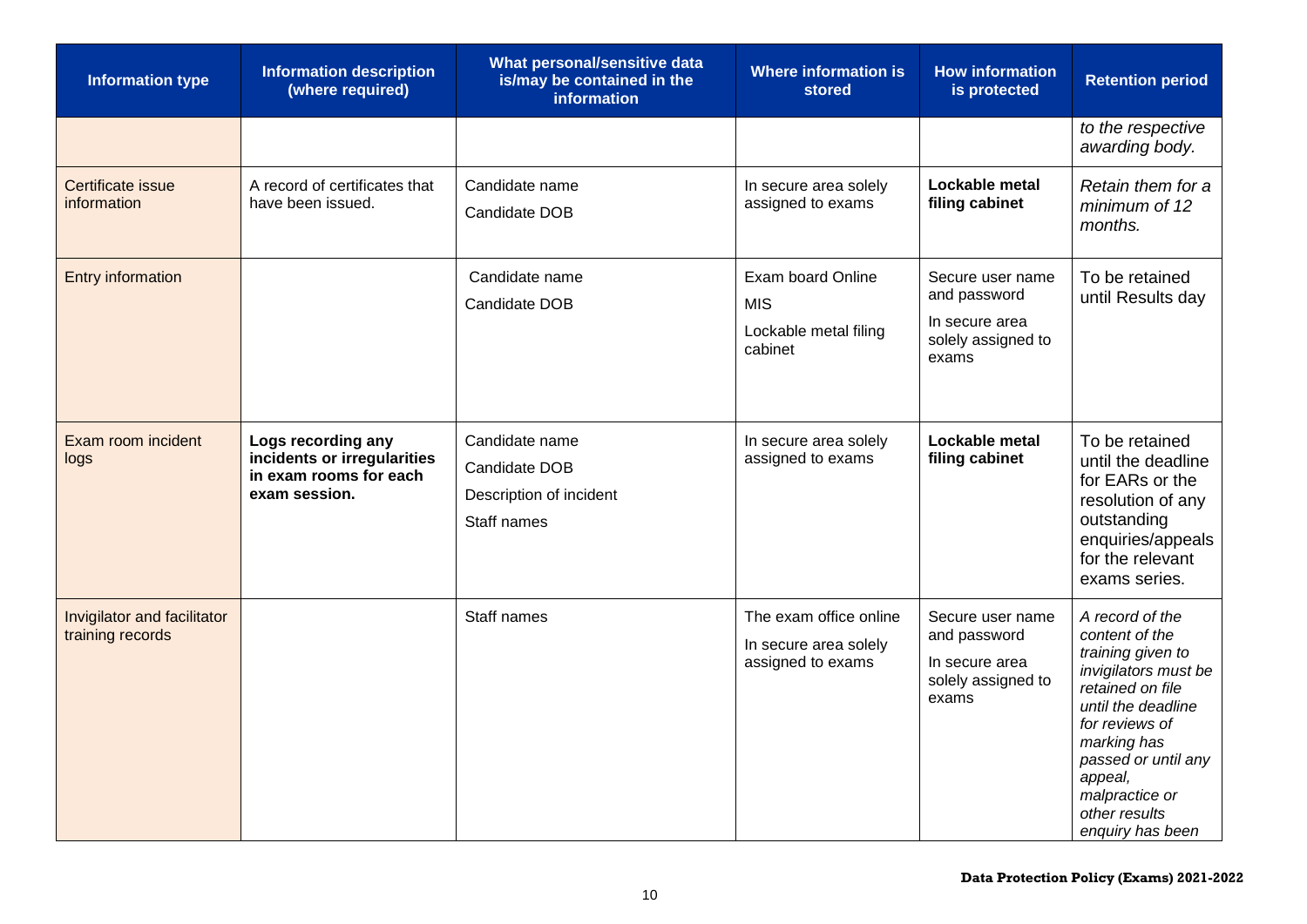| <b>Information type</b>                         | <b>Information description</b><br>(where required)                                           | What personal/sensitive data<br>is/may be contained in the<br>information | <b>Where information is</b><br><b>stored</b>                         | <b>How information</b><br>is protected                                            | <b>Retention period</b>                                                                                                                                                                                                                            |
|-------------------------------------------------|----------------------------------------------------------------------------------------------|---------------------------------------------------------------------------|----------------------------------------------------------------------|-----------------------------------------------------------------------------------|----------------------------------------------------------------------------------------------------------------------------------------------------------------------------------------------------------------------------------------------------|
|                                                 |                                                                                              |                                                                           |                                                                      |                                                                                   | to the respective<br>awarding body.                                                                                                                                                                                                                |
| <b>Certificate issue</b><br>information         | A record of certificates that<br>have been issued.                                           | Candidate name<br>Candidate DOB                                           | In secure area solely<br>assigned to exams                           | Lockable metal<br>filing cabinet                                                  | Retain them for a<br>minimum of 12<br>months.                                                                                                                                                                                                      |
| <b>Entry information</b>                        |                                                                                              | Candidate name<br>Candidate DOB                                           | Exam board Online<br><b>MIS</b><br>Lockable metal filing<br>cabinet  | Secure user name<br>and password<br>In secure area<br>solely assigned to<br>exams | To be retained<br>until Results day                                                                                                                                                                                                                |
| Exam room incident<br>logs                      | Logs recording any<br>incidents or irregularities<br>in exam rooms for each<br>exam session. | Candidate name<br>Candidate DOB<br>Description of incident<br>Staff names | In secure area solely<br>assigned to exams                           | Lockable metal<br>filing cabinet                                                  | To be retained<br>until the deadline<br>for EARs or the<br>resolution of any<br>outstanding<br>enquiries/appeals<br>for the relevant<br>exams series.                                                                                              |
| Invigilator and facilitator<br>training records |                                                                                              | Staff names                                                               | The exam office online<br>In secure area solely<br>assigned to exams | Secure user name<br>and password<br>In secure area<br>solely assigned to<br>exams | A record of the<br>content of the<br>training given to<br>invigilators must be<br>retained on file<br>until the deadline<br>for reviews of<br>marking has<br>passed or until any<br>appeal,<br>malpractice or<br>other results<br>enquiry has been |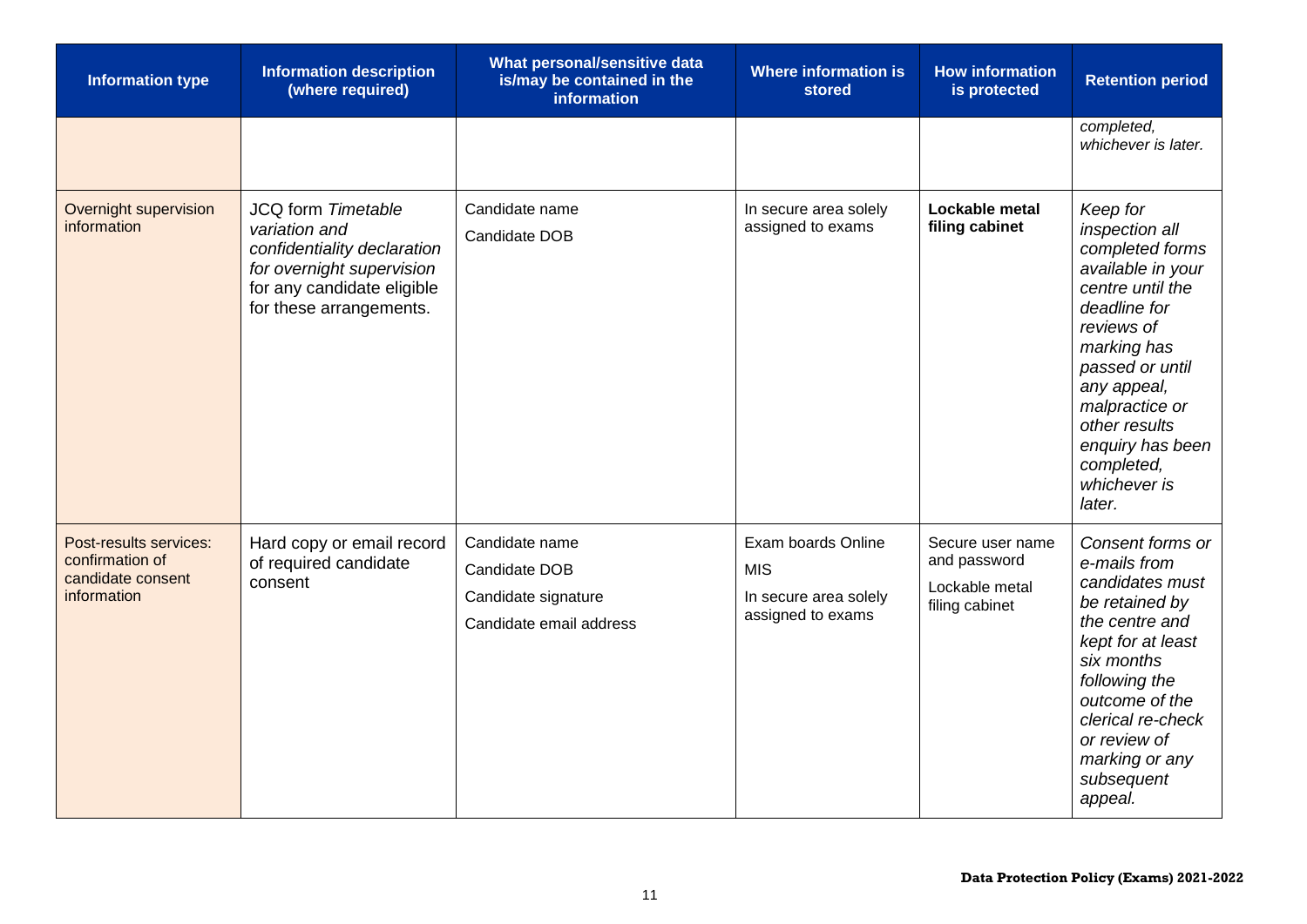| <b>Information type</b>                                                       | <b>Information description</b><br>(where required)                                                                                                       | What personal/sensitive data<br>is/may be contained in the<br><b>information</b>  | <b>Where information is</b><br>stored                                          | <b>How information</b><br>is protected                               | <b>Retention period</b>                                                                                                                                                                                                                                              |
|-------------------------------------------------------------------------------|----------------------------------------------------------------------------------------------------------------------------------------------------------|-----------------------------------------------------------------------------------|--------------------------------------------------------------------------------|----------------------------------------------------------------------|----------------------------------------------------------------------------------------------------------------------------------------------------------------------------------------------------------------------------------------------------------------------|
|                                                                               |                                                                                                                                                          |                                                                                   |                                                                                |                                                                      | completed,<br>whichever is later.                                                                                                                                                                                                                                    |
| Overnight supervision<br>information                                          | JCQ form Timetable<br>variation and<br>confidentiality declaration<br>for overnight supervision<br>for any candidate eligible<br>for these arrangements. | Candidate name<br>Candidate DOB                                                   | In secure area solely<br>assigned to exams                                     | Lockable metal<br>filing cabinet                                     | Keep for<br>inspection all<br>completed forms<br>available in your<br>centre until the<br>deadline for<br>reviews of<br>marking has<br>passed or until<br>any appeal,<br>malpractice or<br>other results<br>enquiry has been<br>completed,<br>whichever is<br>later. |
| Post-results services:<br>confirmation of<br>candidate consent<br>information | Hard copy or email record<br>of required candidate<br>consent                                                                                            | Candidate name<br>Candidate DOB<br>Candidate signature<br>Candidate email address | Exam boards Online<br><b>MIS</b><br>In secure area solely<br>assigned to exams | Secure user name<br>and password<br>Lockable metal<br>filing cabinet | Consent forms or<br>e-mails from<br>candidates must<br>be retained by<br>the centre and<br>kept for at least<br>six months<br>following the<br>outcome of the<br>clerical re-check<br>or review of<br>marking or any<br>subsequent<br>appeal.                        |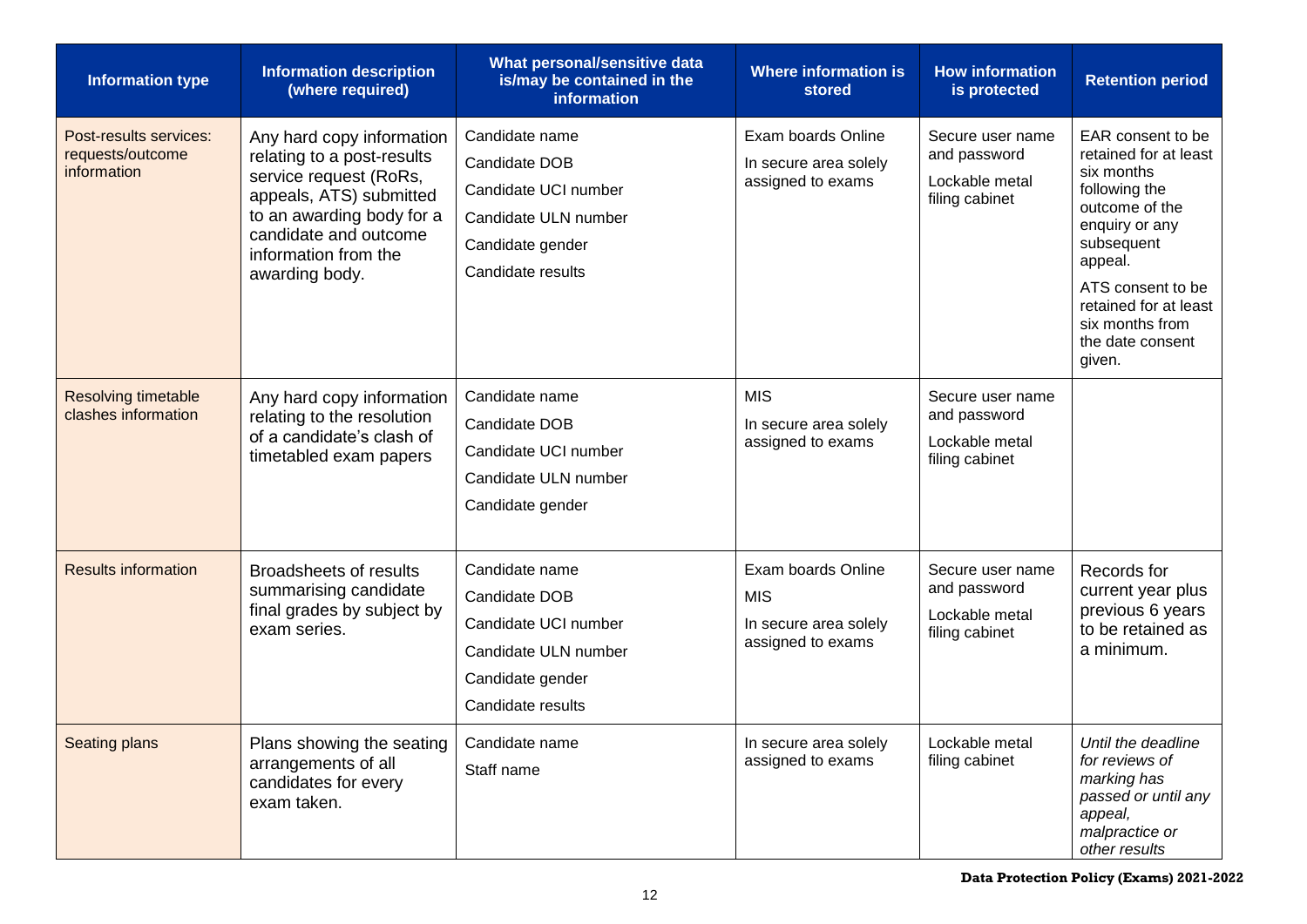| <b>Information type</b>                                   | <b>Information description</b><br>(where required)                                                                                                                                                           | What personal/sensitive data<br>is/may be contained in the<br><b>information</b>                                         | <b>Where information is</b><br><b>stored</b>                                   | <b>How information</b><br>is protected                               | <b>Retention period</b>                                                                                                                                                                                                               |
|-----------------------------------------------------------|--------------------------------------------------------------------------------------------------------------------------------------------------------------------------------------------------------------|--------------------------------------------------------------------------------------------------------------------------|--------------------------------------------------------------------------------|----------------------------------------------------------------------|---------------------------------------------------------------------------------------------------------------------------------------------------------------------------------------------------------------------------------------|
| Post-results services:<br>requests/outcome<br>information | Any hard copy information<br>relating to a post-results<br>service request (RoRs,<br>appeals, ATS) submitted<br>to an awarding body for a<br>candidate and outcome<br>information from the<br>awarding body. | Candidate name<br>Candidate DOB<br>Candidate UCI number<br>Candidate ULN number<br>Candidate gender<br>Candidate results | Exam boards Online<br>In secure area solely<br>assigned to exams               | Secure user name<br>and password<br>Lockable metal<br>filing cabinet | EAR consent to be<br>retained for at least<br>six months<br>following the<br>outcome of the<br>enquiry or any<br>subsequent<br>appeal.<br>ATS consent to be<br>retained for at least<br>six months from<br>the date consent<br>given. |
| Resolving timetable<br>clashes information                | Any hard copy information<br>relating to the resolution<br>of a candidate's clash of<br>timetabled exam papers                                                                                               | Candidate name<br>Candidate DOB<br>Candidate UCI number<br>Candidate ULN number<br>Candidate gender                      | <b>MIS</b><br>In secure area solely<br>assigned to exams                       | Secure user name<br>and password<br>Lockable metal<br>filing cabinet |                                                                                                                                                                                                                                       |
| <b>Results information</b>                                | <b>Broadsheets of results</b><br>summarising candidate<br>final grades by subject by<br>exam series.                                                                                                         | Candidate name<br>Candidate DOB<br>Candidate UCI number<br>Candidate ULN number<br>Candidate gender<br>Candidate results | Exam boards Online<br><b>MIS</b><br>In secure area solely<br>assigned to exams | Secure user name<br>and password<br>Lockable metal<br>filing cabinet | Records for<br>current year plus<br>previous 6 years<br>to be retained as<br>a minimum.                                                                                                                                               |
| Seating plans                                             | Plans showing the seating<br>arrangements of all<br>candidates for every<br>exam taken.                                                                                                                      | Candidate name<br>Staff name                                                                                             | In secure area solely<br>assigned to exams                                     | Lockable metal<br>filing cabinet                                     | Until the deadline<br>for reviews of<br>marking has<br>passed or until any<br>appeal,<br>malpractice or<br>other results                                                                                                              |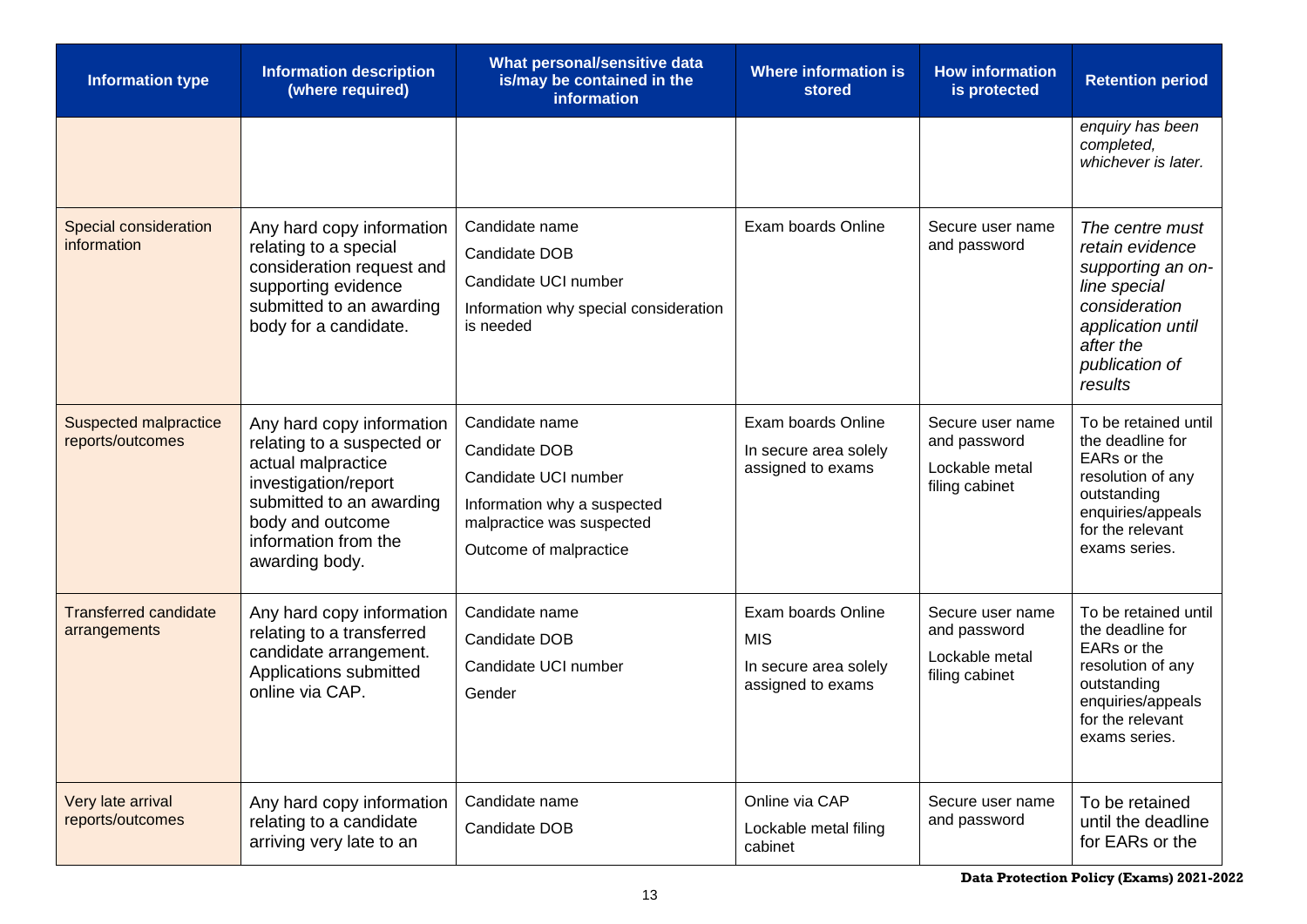| <b>Information type</b>                          | <b>Information description</b><br>(where required)                                                                                                                                              | What personal/sensitive data<br>is/may be contained in the<br><i>information</i>                                                              | <b>Where information is</b><br>stored                                          | <b>How information</b><br>is protected                               | <b>Retention period</b>                                                                                                                                 |
|--------------------------------------------------|-------------------------------------------------------------------------------------------------------------------------------------------------------------------------------------------------|-----------------------------------------------------------------------------------------------------------------------------------------------|--------------------------------------------------------------------------------|----------------------------------------------------------------------|---------------------------------------------------------------------------------------------------------------------------------------------------------|
|                                                  |                                                                                                                                                                                                 |                                                                                                                                               |                                                                                |                                                                      | enquiry has been<br>completed,<br>whichever is later.                                                                                                   |
| Special consideration<br>information             | Any hard copy information<br>relating to a special<br>consideration request and<br>supporting evidence<br>submitted to an awarding<br>body for a candidate.                                     | Candidate name<br>Candidate DOB<br>Candidate UCI number<br>Information why special consideration<br>is needed                                 | Exam boards Online                                                             | Secure user name<br>and password                                     | The centre must<br>retain evidence<br>supporting an on-<br>line special<br>consideration<br>application until<br>after the<br>publication of<br>results |
| <b>Suspected malpractice</b><br>reports/outcomes | Any hard copy information<br>relating to a suspected or<br>actual malpractice<br>investigation/report<br>submitted to an awarding<br>body and outcome<br>information from the<br>awarding body. | Candidate name<br>Candidate DOB<br>Candidate UCI number<br>Information why a suspected<br>malpractice was suspected<br>Outcome of malpractice | Exam boards Online<br>In secure area solely<br>assigned to exams               | Secure user name<br>and password<br>Lockable metal<br>filing cabinet | To be retained until<br>the deadline for<br>EARs or the<br>resolution of any<br>outstanding<br>enquiries/appeals<br>for the relevant<br>exams series.   |
| <b>Transferred candidate</b><br>arrangements     | Any hard copy information<br>relating to a transferred<br>candidate arrangement.<br>Applications submitted<br>online via CAP.                                                                   | Candidate name<br>Candidate DOB<br>Candidate UCI number<br>Gender                                                                             | Exam boards Online<br><b>MIS</b><br>In secure area solely<br>assigned to exams | Secure user name<br>and password<br>Lockable metal<br>filing cabinet | To be retained until<br>the deadline for<br>EARs or the<br>resolution of any<br>outstanding<br>enquiries/appeals<br>for the relevant<br>exams series    |
| Very late arrival<br>reports/outcomes            | Any hard copy information<br>relating to a candidate<br>arriving very late to an                                                                                                                | Candidate name<br>Candidate DOB                                                                                                               | Online via CAP<br>Lockable metal filing<br>cabinet                             | Secure user name<br>and password                                     | To be retained<br>until the deadline<br>for EARs or the                                                                                                 |